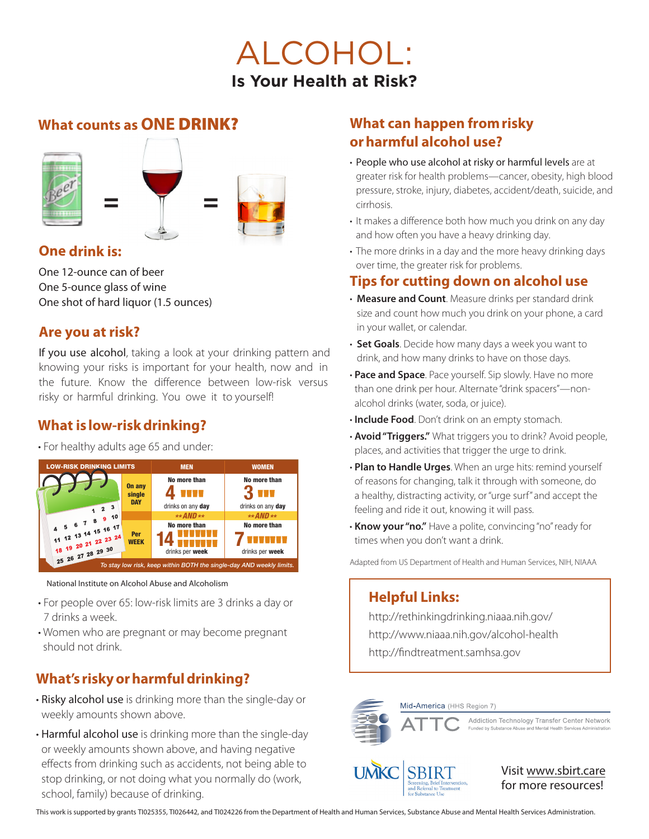## ALCOHOL: **Is Your Health at Risk?**

#### **What counts as ONE** DRINK?



#### **One drink is:**

One 12-ounce can of beer One 5-ounce glass of wine One shot of hard liquor (1.5 ounces)

#### **Are you at risk?**

If you use alcohol, taking a look at your drinking pattern and knowing your risks is important for your health, now and in the future. Know the difference between low-risk versus risky or harmful drinking. You owe it to yourself!

#### **What is low-risk drinking?**

• For healthy adults age 65 and under:



National Institute on Alcohol Abuse and Alcoholism

- For people over 65: low-risk limits are 3 drinks a day or 7 drinks a week.
- Women who are pregnant or may become pregnant should not drink.

## **What's risky or harmful drinking?**

- Risky alcohol use is drinking more than the single-day or weekly amounts shown above.
- Harmful alcohol use is drinking more than the single-day or weekly amounts shown above, and having negative effects from drinking such as accidents, not being able to stop drinking, or not doing what you normally do (work, school, family) because of drinking.

### **What can happen from risky or harmful alcohol use?**

- People who use alcohol at risky or harmful levels are at greater risk for health problems—cancer, obesity, high blood pressure, stroke, injury, diabetes, accident/death, suicide, and cirrhosis.
- It makes a difference both how much you drink on any day and how often you have a heavy drinking day.
- The more drinks in a day and the more heavy drinking days over time, the greater risk for problems.

#### **Tips for cutting down on alcohol use**

- **Measure and Count**. Measure drinks per standard drink size and count how much you drink on your phone, a card in your wallet, or calendar.
- **Set Goals**. Decide how many days a week you want to drink, and how many drinks to have on those days.
- **Pace and Space**. Pace yourself. Sip slowly. Have no more than one drink per hour. Alternate "drink spacers"—nonalcohol drinks (water, soda, or juice).
- **Include Food**. Don't drink on an empty stomach.
- **Avoid "Triggers."** What triggers you to drink? Avoid people, places, and activities that trigger the urge to drink.
- **Plan to Handle Urges**. When an urge hits: remind yourself of reasons for changing, talk it through with someone, do a healthy, distracting activity, or "urge surf" and accept the feeling and ride it out, knowing it will pass.
- **Know your "no."** Have a polite, convincing "no" ready for times when you don't want a drink.

Adapted from US Department of Health and Human Services, NIH, NIAAA

#### **Helpful Links:**

http://rethinkingdrinking.niaaa.nih.gov/ http://www.niaaa.nih.gov/alcohol-health http://findtreatment.samhsa.gov



This work is supported by grants TI025355, TI026442, and TI024226 from the Department of Health and Human Services, Substance Abuse and Mental Health Services Administration.